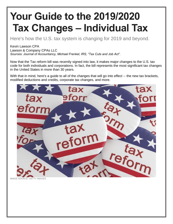# **Your Guide to the 2019/2020 Tax Changes – Individual Tax**

Here's how the U.S. tax system is changing for 2019 and beyond.

# Kevin Lawson CPA

Lawson & Company CPAs LLC

*Sources: Journal of Accountancy, Michael Frenkel, IRS, "Tax Cuts and Job Act".*

Now that the Tax reform bill was recently signed into law, it makes major changes to the U.S. tax code for both individuals and corporations. In fact, the bill represents the most significant tax changes in the United States in more than 30 years.

With that in mind, here's a guide to all of the changes that will go into effect -- the new tax brackets, modified deductions and credits, corporate tax changes, and more.



**IMAGE SOURCE: GETTY IMAGES**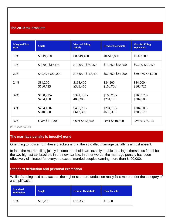## **The 2019 tax brackets**

| <b>Marginal Tax</b><br>Rate | <b>Single</b>            | <b>Married Filing</b><br><b>Jointly</b> | <b>Head of Household</b> | <b>Married Filing</b><br><b>Separately</b> |
|-----------------------------|--------------------------|-----------------------------------------|--------------------------|--------------------------------------------|
| 10%                         | \$0-\$9,700              | \$0-\$19,400                            | $$0-$13,850$             | \$0-\$9,700                                |
| 12%                         | \$9,700-\$39,475         | \$19,050-\$78,950                       | \$13,850-\$52,850        | \$9,700-\$39,475                           |
| 22%                         | \$39,475-\$84,200        | \$78,950-\$168,400                      | \$52,850-\$84,200        | \$39,475-\$84,200                          |
| 24%                         | \$84,200-<br>\$160,725   | \$168,400-<br>\$321,450                 | \$84,200-<br>\$160,700   | \$84,200-<br>\$160,725                     |
| 32%                         | \$160,725-<br>\$204,100  | $$321,450$ -<br>408,200                 | $$160,700-$<br>\$204,100 | $$160,725-$<br>\$204,100                   |
| 35%                         | $$204,100-$<br>\$510,300 | \$408,200-<br>\$612,350                 | $$204,100-$<br>\$510,300 | $$204,100-$<br>\$306,175                   |
| 37%                         | Over \$510,300           | Over \$612,350                          | Over \$510,300           | Over \$306,175                             |

DATA SOURCE: IRS.

## **The marriage penalty is (mostly) gone**

One thing to notice from these brackets is that the so-called marriage penalty is almost absent.

In fact, the married filing jointly income thresholds are exactly double the single thresholds for all but the two highest tax brackets in the new tax law. In other words, the marriage penalty has been effectively eliminated for everyone except married couples earning more than \$400,000.

# **Standard deduction and personal exemption**

While it's being sold as a tax cut, the higher standard deduction really falls more under the category of a simplification.

| <b>Standard</b><br><b>Deduction</b> | <b>Single</b> | <b>Head of Household</b> | Over 65 add: |
|-------------------------------------|---------------|--------------------------|--------------|
| 10%                                 | \$12,200      | \$18,350                 | \$1,300      |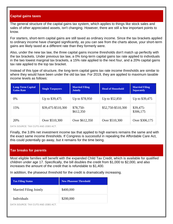# **Capital gains taxes**

The general structure of the capital gains tax system, which applies to things like stock sales and sales of other appreciated assets, isn't changing. However, there are still a few important points to know.

For starters, short-term capital gains are still taxed as ordinary income. Since the tax brackets applied to ordinary income have changed significantly, as you can see from the charts above, your short-term gains are likely taxed at a different rate than they formerly were.

Also, under the new tax law, the three capital gains income thresholds don't match up perfectly with the tax brackets. Under previous tax law, a 0% long-term capital gains tax rate applied to individuals in the two lowest marginal tax brackets, a 15% rate applied to the next four, and a 20% capital gains tax rate applied to the top tax bracket.

Instead of this type of structure, the long-term capital gains tax rate income thresholds are similar to where they would have been under the old tax law. For 2019, they are applied to maximum taxable income levels as follows:

| <b>Long-Term Capital</b><br><b>Gains Rate</b> | <b>Single Taxpayers</b> | <b>Married Filing</b><br><b>Jointly</b> | <b>Head of Household</b> | <b>Married Filing</b><br><b>Separately</b> |
|-----------------------------------------------|-------------------------|-----------------------------------------|--------------------------|--------------------------------------------|
| 0%                                            | Up to \$39,475          | Up to \$78,950                          | Up to \$52,850           | Up to \$39,475                             |
| 15%                                           | \$39,475-\$510,300      | \$78,750-<br>\$612,350                  | \$52,750-\$510,300       | $$39,475-$<br>\$306,175                    |
| 20%                                           | Over \$510,300          | Over \$612,350                          | Over \$510,300           | Over \$306,175                             |

DATA SOURCE: TAX CUTS AND JOBS ACT.

Finally, the 3.8% net investment income tax that applied to high earners remains the same and with the exact same income thresholds. If Congress is successful in repealing the Affordable Care Act, this could potentially go away, but it remains for the time being.

## **Tax breaks for parents**

Most eligible families will benefit with the expanded Child Tax Credit, which is available for qualified children under age 17. Specifically, the bill doubles the credit from \$1,000 to \$2,000, and also increases the amount of the credit that is refundable to \$1,400.

In addition, the phaseout threshold for the credit is dramatically increasing.

| <b>Tax Filing Status</b>           | <b>New Phaseout Threshold</b> |
|------------------------------------|-------------------------------|
| <b>Married Filing Jointly</b>      | \$400,000                     |
| Individuals                        | \$200,000                     |
| DATA COUDCE, TAV CUTS AND JODS ACT |                               |

DATA SOURCE: TAX CUTS AND JOBS ACT.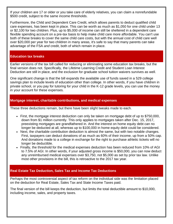If your children are 17 or older or you take care of elderly relatives, you can claim a nonrefundable \$500 credit, subject to the same income thresholds.

Furthermore, the Child and Dependent Care Credit, which allows parents to deduct qualified child care expenses, has been kept in place. This can be worth as much as \$1,050 for one child under 13 or \$2,100 for two children. Plus, up to \$5,000 of income can still be sheltered in a dependent care flexible spending account on a pre-tax basis to help make child care more affordable. You can't use both of these breaks to cover the same child care costs, but with the annual cost of child care well over \$20,000 per year for two children in many areas, it's safe to say that many parents can take advantage of the FSA *and* credit, both of which remain in place.

#### **Education tax breaks**

Earlier versions of the tax bill called for reducing or eliminating some education tax breaks, but the final version does not. Specifically, the Lifetime Learning Credit and Student Loan Interest Deduction are still in place, and the exclusion for graduate school tuition waivers survives as well.

One significant change is that the bill expands the available use of funds saved in a 529 college savings plan to include levels of education other than college. In other words, if you have children in private school, or you pay for tutoring for your child in the K-12 grade levels, you can use the money in your account for these expenses.

## **Mortgage interest, charitable contributions, and medical expenses**

These three deductions remain, but there have been slight tweaks made to each.

- First, the mortgage interest deduction can only be taken on mortgage debt of up to \$750,000, down from \$1 million currently. This only applies to mortgages taken after Dec. 15, 2017, preexisting mortgages are grandfathered in. And the interest on home equity debt can no longer be deducted at all, whereas up to \$100,000 in home equity debt could be considered.
- Next, the charitable contribution deduction is almost the same, but with two notable changes. First, taxpayers can deduct donations of as much as 60% of their income, up from a 50% cap. And donations made to a college in exchange for the right to purchase athletic tickets will no longer be deductible.
- Finally, the threshold for the medical expenses deduction has been reduced from 10% of AGI to 7.5% of AGI. In other words, if your adjusted gross income is \$50,000, you can now deduct any unreimbursed medical expenses over \$3,750, not \$5,000 as set by prior tax law. Unlike most other provisions in the bill, this is retroactive to the 2017 tax year.

## **Real Estate Tax Deduction, Sales Tax and Income Tax Deductions**

Perhaps the most controversial aspect of tax reform on the individual side was the limitation placed on the deduction for Real Estate, Sales Tax and State Income Taxes paid.

The final version of the bill keeps the deduction, but limits the total deductible amount to \$10,000, including income, sales, and property taxes.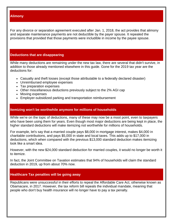#### **Alimony**

For any divorce or separation agreement executed after Jan. 1, 2018, the act provides that alimony and separate maintenance payments are not deductible by the payer spouse. It repealed the provisions that provided that those payments were includible in income by the payee spouse.

#### **Deductions that are disappearing**

While many deductions are remaining under the new tax law, there are several that didn't survive, in addition to those already mentioned elsewhere in this guide. Gone for the 2019 tax year are the deductions for:

- Casualty and theft losses (except those attributable to a federally declared disaster)
- Unreimbursed employee expenses
- Tax preparation expenses
- Other miscellaneous deductions previously subject to the 2% AGI cap
- Moving expenses
- Employer-subsidized parking and transportation reimbursement

## **Itemizing won't be worthwhile anymore for millions of households**

While we're on the topic of deductions, many of these may now be a moot point, even to taxpayers who have been using them for years. Even though most major deductions are being kept in place, the higher standard deductions will make itemizing not worthwhile for millions of households.

For example, let's say that a married couple pays \$8,000 in mortgage interest, makes \$4,000 in charitable contributions, and pays \$5,000 in state and local taxes. This adds up to \$17,000 in deductions, which when compared with the previous \$13,000 standard deduction makes itemizing look like a smart idea.

However, with the new \$24,000 standard deduction for married couples, it would no longer be worth it to itemize.

In fact, the Joint Committee on Taxation estimates that 94% of households will claim the standard deduction in 2019, up from about 70% now.

## **Healthcare Tax penalties will be going away**

Republicans were unsuccessful in their efforts to repeal the Affordable Care Act, otherwise known as Obamacare, in 2017. However, the tax reform bill repeals the individual mandate, meaning that people who don't buy health insurance will no longer have to pay a tax penalty.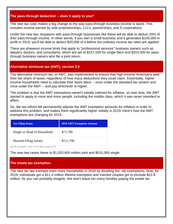## **The pass-through deduction -- does it apply to you?**

The new tax code makes a big change to the way pass-through business income is taxed. This includes income earned by sole proprietorships, LLCs, partnerships, and S corporations.

Under the new law, taxpayers with pass-through businesses like these will be able to deduct 20% of their pass-through income. In other words, if you own a small business and it generates \$100,000 in profit in 2019, you'll be able to deduct \$20,000 of it before the ordinary income tax rates are applied.

There are phaseout income limits that apply to "professional services" business owners such as lawyers, doctors, and consultants, which are set at \$157,500 for single filers and \$315,000 for passthrough business owners who file a joint return.

## **Alternative minimum tax (AMT), version 2.0**

The alternative minimum tax, or AMT, was implemented to ensure that high-income Americans paid their fair share of taxes, regardless of how many deductions they could claim. Essentially, higherincome households need to calculate their taxes twice -- once under the standard tax system and once under the AMT -- and pay whichever is higher.

The problem is that the AMT exemptions weren't initially indexed for inflation, so over time, the AMT started to apply to more and more people, including the middle class, which it was never intended to affect.

So, the tax reform bill permanently adjusts the AMT exemption amounts for inflation in order to address this problem, and makes them significantly higher initially in 2019. Here's how the AMT exemptions are changing for 2019.

| <b>Tax Filing Status</b>    | <b>2019 AMT Exemption Amount</b> |  |
|-----------------------------|----------------------------------|--|
| Single or Head of Household | \$71,700                         |  |
| Married Filing Jointly      | \$111,700                        |  |

DATA SOURCE: TAX CUTS AND JOBS ACT.

The new law raises these to \$1,020,600 million joint and \$510,300 single.

#### **The estate tax exemption**

The new tax law exempts even more households in 2019 by doubling the old exemptions. Now, for 2019, individuals get a \$11.4 million lifetime exemption and married couples get to exclude \$22.8 million. As you can probably imagine, this won't leave too many families paying the estate tax.